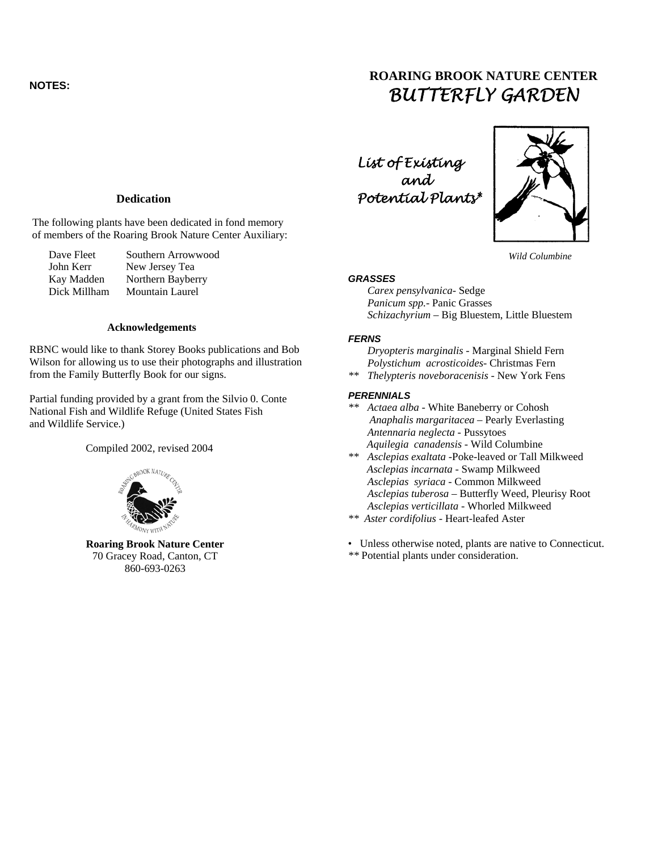## **NOTES:**

# **ROARING BROOK NATURE CENTER**  *BUTTERFLY GARDEN*

## **Dedication**

The following plants have been dedicated in fond memory of members of the Roaring Brook Nature Center Auxiliary:

| Dave Fleet   | Southern Arrowwood     |
|--------------|------------------------|
| John Kerr    | New Jersey Tea         |
| Kay Madden   | Northern Bayberry      |
| Dick Millham | <b>Mountain Laurel</b> |

#### **Acknowledgements**

RBNC would like to thank Storey Books publications and Bob Wilson for allowing us to use their photographs and illustration from the Family Butterfly Book for our signs.

Partial funding provided by a grant from the Silvio 0. Conte National Fish and Wildlife Refuge (United States Fish and Wildlife Service.)

Compiled 2002, revised 2004



70 Gracey Road, Canton, CT 860-693-0263

 *List of Existing and Potential Plants\**



*Wild Columbine*

#### *GRASSES*

 *Carex pensylvanica-* Sedge  *Panicum spp.-* Panic Grasses  *Schizachyrium –* Big Bluestem, Little Bluestem

#### *FERNS*

 *Dryopteris marginalis -* Marginal Shield Fern  *Polystichum acrosticoides-* Christmas Fern

*\*\* Thelypteris noveboracenisis -* New York Fens

## *PERENNIALS*

- *\*\* Actaea alba -* White Baneberry or Cohosh  *Anaphalis margaritacea –* Pearly Everlasting  *Antennaria neglecta* - Pussytoes  *Aquilegia canadensis -* Wild Columbine
- *\*\* Asclepias exaltata* -Poke-leaved or Tall Milkweed  *Asclepias incarnata* - Swamp Milkweed  *Asclepias syriaca -* Common Milkweed  *Asclepias tuberosa –* Butterfly Weed, Pleurisy Root  *Asclepias verticillata -* Whorled Milkweed
- *\*\* Aster cordifolius -* Heart-leafed Aster
- **Roaring Brook Nature Center Connecticut.** Unless otherwise noted, plants are native to Connecticut.
	- *\*\** Potential plants under consideration.